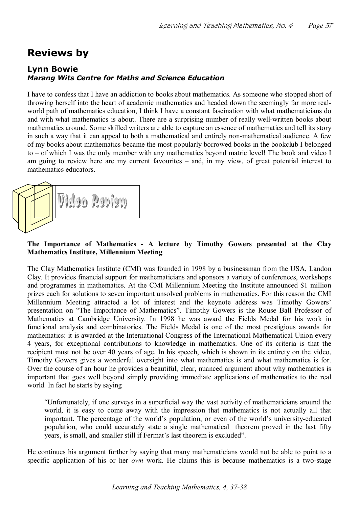## **Reviews by**

## **Lynn Bowie** *Marang Wits Centre for Maths and Science Education*

I have to confess that I have an addiction to books about mathematics. As someone who stopped short of throwing herself into the heart of academic mathematics and headed down the seemingly far more real world path of mathematics education, I think I have a constant fascination with what mathematicians do and with what mathematics is about. There are a surprising number of really well-written books about mathematics around. Some skilled writers are able to capture an essence of mathematics and tell its story in such a way that it can appeal to both a mathematical and entirely non-mathematical audience. A few of my books about mathematics became the most popularly borrowed books in the bookclub Ibelonged to – of which I was the only member with any mathematics beyond matric level! The book and video I am going to review here are my current favourites – and, in my view, of great potential interest to mathematics educators.



## **The Importance of Mathematics A lecture by Timothy Gowers presented at the Clay Mathematics Institute, Millennium Meeting**

The Clay Mathematics Institute (CMI) was founded in 1998 by a businessman from the USA, Landon Clay. It provides financial support for mathematicians and sponsors a variety of conferences, workshops and programmes in mathematics. At the CMI Millennium Meeting the Institute announced \$1 million prizes each for solutions to seven important unsolved problems in mathematics. For this reason the CMI Millennium Meeting attracted a lot of interest and the keynote address was Timothy Gowers' presentation on "The Importance of Mathematics". Timothy Gowers is the Rouse Ball Professor of Mathematics at Cambridge University. In 1998 he was award the Fields Medal for his work in functional analysis and combinatorics. The Fields Medal is one of the most prestigious awards for mathematics: it is awarded at the International Congress of the International Mathematical Union every 4 years, for exceptional contributions to knowledge in mathematics. One of its criteria is that the recipient must not be over 40 years of age. In his speech, which is shown in its entirety on the video, Timothy Gowers gives a wonderful oversight into what mathematics is and what mathematics is for. Over the course of an hour he provides a beautiful, clear, nuanced argument about why mathematics is important that goes well beyond simply providing immediate applications of mathematics to the real world. In fact he starts by saying

"Unfortunately, if one surveys in a superficial way the vast activity of mathematicians around the world, it is easy to come away with the impression that mathematics is not actually all that important. The percentage of the world's population, or even of the world's university-educated population, who could accurately state a single mathematical theorem proved in the last fifty years, is small, and smaller still if Fermat's last theorem is excluded".

He continues his argument further by saying that many mathematicians would not be able to point to a specific application of his or her *own* work. He claims this is because mathematics is a two-stage